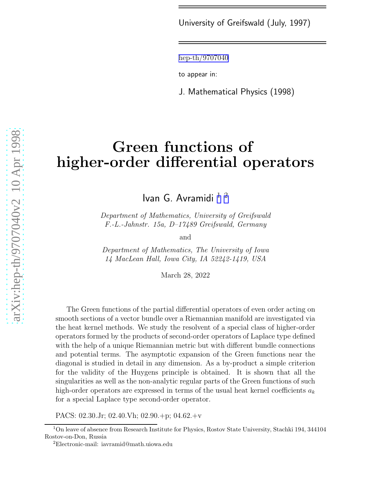University of Greifswald (July, 1997)

[hep-th/9707040](http://arxiv.org/abs/hep-th/9707040)

to appear in:

J. Mathematical Physics (1998)

# Green functions of higher-order differential operators

Ivan G. Avramidi  $12$ 

Department of Mathematics, University of Greifswald F.-L.-Jahnstr. 15a, D–17489 Greifswald, Germany

and

Department of Mathematics, The University of Iowa 14 MacLean Hall, Iowa City, IA 52242-1419, USA

March 28, 2022

The Green functions of the partial differential operators of even order acting on smooth sections of a vector bundle over a Riemannian manifold are investigated via the heat kernel methods. We study the resolvent of a special class of higher-order operators formed by the products of second-order operators of Laplace type defined with the help of a unique Riemannian metric but with different bundle connections and potential terms. The asymptotic expansion of the Green functions near the diagonal is studied in detail in any dimension. As a by-product a simple criterion for the validity of the Huygens principle is obtained. It is shown that all the singularities as well as the non-analytic regular parts of the Green functions of such high-order operators are expressed in terms of the usual heat kernel coefficients  $a_k$ for a special Laplace type second-order operator.

PACS: 02.30.Jr; 02.40.Vh; 02.90.+p; 04.62.+v

<sup>1</sup>On leave of absence from Research Institute for Physics, Rostov State University, Stachki 194, 344104 Rostov-on-Don, Russia <sup>2</sup>Electronic-mail: iavramid@math.uiowa.edu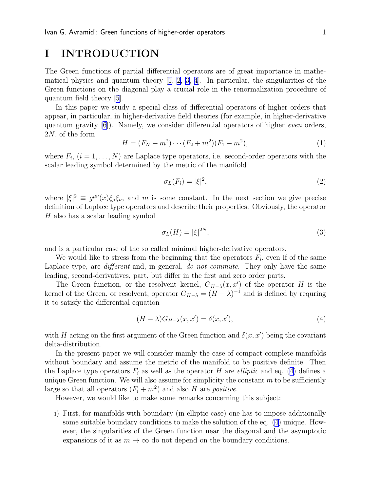# I INTRODUCTION

The Green functions of partial differential operators are of great importance in mathematical physics and quantum theory  $[1, 2, 3, 4]$  $[1, 2, 3, 4]$  $[1, 2, 3, 4]$  $[1, 2, 3, 4]$ . In particular, the singularities of the Green functions on the diagonal play a crucial role in the renormalization procedure of quantum field theory[[5\]](#page-24-0).

In this paper we study a special class of differential operators of higher orders that appear, in particular, in higher-derivative field theories (for example, in higher-derivative quantumgravity  $[6]$  $[6]$ ). Namely, we consider differential operators of higher *even* orders, 2N, of the form

$$
H = (F_N + m^2) \cdots (F_2 + m^2)(F_1 + m^2),\tag{1}
$$

where  $F_i$ ,  $(i = 1, \ldots, N)$  are Laplace type operators, i.e. second-order operators with the scalar leading symbol determined by the metric of the manifold

$$
\sigma_L(F_i) = |\xi|^2,\tag{2}
$$

where  $|\xi|^2 \equiv g^{\mu\nu}(x)\xi_{\mu}\xi_{\nu}$ , and m is some constant. In the next section we give precise definition of Laplace type operators and describe their properties. Obviously, the operator H also has a scalar leading symbol

$$
\sigma_L(H) = |\xi|^{2N},\tag{3}
$$

and is a particular case of the so called minimal higher-derivative operators.

We would like to stress from the beginning that the operators  $F_i$ , even if of the same Laplace type, are *different* and, in general, *do not commute*. They only have the same leading, second-derivatives, part, but differ in the first and zero order parts.

The Green function, or the resolvent kernel,  $G_{H-\lambda}(x, x')$  of the operator H is the kernel of the Green, or resolvent, operator  $G_{H-\lambda} = (H - \lambda)^{-1}$  and is defined by requring it to satisfy the differential equation

$$
(H - \lambda)G_{H-\lambda}(x, x') = \delta(x, x'),\tag{4}
$$

with H acting on the first argument of the Green function and  $\delta(x, x')$  being the covariant delta-distribution.

In the present paper we will consider mainly the case of compact complete manifolds without boundary and assume the metric of the manifold to be positive definite. Then the Laplace type operators  $F_i$  as well as the operator H are *elliptic* and eq. (4) defines a unique Green function. We will also assume for simplicity the constant  $m$  to be sufficiently large so that all operators  $(F_i + m^2)$  and also H are *positive*.

However, we would like to make some remarks concerning this subject:

i) First, for manifolds with boundary (in elliptic case) one has to impose additionally some suitable boundary conditions to make the solution of the eq. (4) unique. However, the singularities of the Green function near the diagonal and the asymptotic expansions of it as  $m \to \infty$  do not depend on the boundary conditions.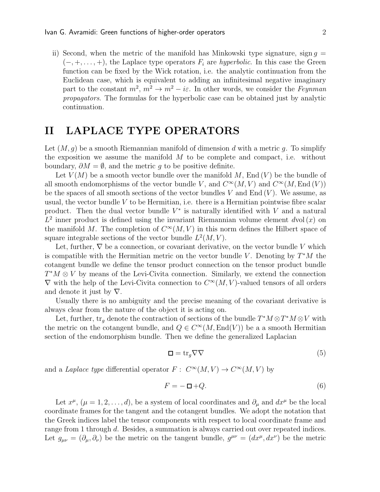<span id="page-2-0"></span>ii) Second, when the metric of the manifold has Minkowski type signature, sign  $q =$  $(-, +, \ldots, +)$ , the Laplace type operators  $F_i$  are *hyperbolic*. In this case the Green function can be fixed by the Wick rotation, i.e. the analytic continuation from the Euclidean case, which is equivalent to adding an infinitesimal negative imaginary part to the constant  $m^2$ ,  $m^2 \to m^2 - i\varepsilon$ . In other words, we consider the Feynman propagators. The formulas for the hyperbolic case can be obtained just by analytic continuation.

# II LAPLACE TYPE OPERATORS

Let  $(M, g)$  be a smooth Riemannian manifold of dimension d with a metric g. To simplify the exposition we assume the manifold  $M$  to be complete and compact, i.e. without boundary,  $\partial M = \emptyset$ , and the metric g to be positive definite.

Let  $V(M)$  be a smooth vector bundle over the manifold M, End  $(V)$  be the bundle of all smooth endomorphisms of the vector bundle V, and  $C^{\infty}(M, V)$  and  $C^{\infty}(M, \text{End}(V))$ be the spaces of all smooth sections of the vector bundles V and  $End(V)$ . We assume, as usual, the vector bundle  $V$  to be Hermitian, i.e. there is a Hermitian pointwise fibre scalar product. Then the dual vector bundle  $V^*$  is naturally identified with V and a natural  $L^2$  inner product is defined using the invariant Riemannian volume element dvol(x) on the manifold M. The completion of  $C^{\infty}(M, V)$  in this norm defines the Hilbert space of square integrable sections of the vector bundle  $L^2(M, V)$ .

Let, further,  $\nabla$  be a connection, or covariant derivative, on the vector bundle V which is compatible with the Hermitian metric on the vector bundle V. Denoting by  $T^*M$  the cotangent bundle we define the tensor product connection on the tensor product bundle  $T^*M \otimes V$  by means of the Levi-Civita connection. Similarly, we extend the connection  $\nabla$  with the help of the Levi-Civita connection to  $C^{\infty}(M, V)$ -valued tensors of all orders and denote it just by  $\nabla$ .

Usually there is no ambiguity and the precise meaning of the covariant derivative is always clear from the nature of the object it is acting on.

Let, further,  $\text{tr}_g$  denote the contraction of sections of the bundle  $T^*M \otimes T^*M \otimes V$  with the metric on the cotangent bundle, and  $Q \in C^{\infty}(M, \text{End}(V))$  be a a smooth Hermitian section of the endomorphism bundle. Then we define the generalized Laplacian

$$
\Box = \text{tr}_g \nabla \nabla \tag{5}
$$

and a Laplace type differential operator  $F: C^{\infty}(M, V) \to C^{\infty}(M, V)$  by

$$
F = -\Box + Q.\tag{6}
$$

Let  $x^{\mu}$ ,  $(\mu = 1, 2, \ldots, d)$ , be a system of local coordinates and  $\partial_{\mu}$  and  $dx^{\mu}$  be the local coordinate frames for the tangent and the cotangent bundles. We adopt the notation that the Greek indices label the tensor components with respect to local coordinate frame and range from 1 through d. Besides, a summation is always carried out over repeated indices. Let  $g_{\mu\nu} = (\partial_\mu, \partial_\nu)$  be the metric on the tangent bundle,  $g^{\mu\nu} = (dx^\mu, dx^\nu)$  be the metric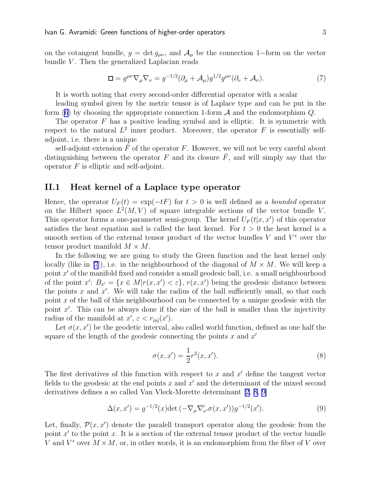on the cotangent bundle,  $g = \det g_{\mu\nu}$ , and  $\mathcal{A}_{\mu}$  be the connection 1–form on the vector bundle  $V$ . Then the generalized Laplacian reads

$$
\Box = g^{\mu\nu}\nabla_{\mu}\nabla_{\nu} = g^{-1/2}(\partial_{\mu} + \mathcal{A}_{\mu})g^{1/2}g^{\mu\nu}(\partial_{\nu} + \mathcal{A}_{\nu}). \tag{7}
$$

It is worth noting that every second-order differential operator with a scalar

leading symbol given by the metric tensor is of Laplace type and can be put in the form [\(6](#page-2-0)) by choosing the appropriate connection 1-form  $A$  and the endomorphism  $Q$ .

The operator  $F$  has a positive leading symbol and is elliptic. It is symmetric with respect to the natural  $L^2$  inner product. Moreover, the operator F is essentially selfadjoint, i.e. there is a unique

self-adjoint extension  $F$  of the operator  $F$ . However, we will not be very careful about distinguishing between the operator F and its closure  $\overline{F}$ , and will simply say that the operator  $F$  is elliptic and self-adjoint.

### II.1 Heat kernel of a Laplace type operator

Hence, the operator  $U_F(t) = \exp(-t)$  for  $t > 0$  is well defined as a *bounded* operator on the Hilbert space  $L^2(M, V)$  of square integrable sections of the vector bundle V. This operator forms a one-parameter semi-group. The kernel  $U_F(t|x, x')$  of this operator satisfies the heat equation and is called the heat kernel. For  $t > 0$  the heat kernel is a smooth section of the external tensor product of the vector bundles  $V$  and  $V^*$  over the tensor product manifold  $M \times M$ .

In the following we are going to study the Green function and the heat kernel only locally (like in [\[7](#page-25-0)]), i.e. in the neighbourhood of the diagonal of  $M \times M$ . We will keep a point x' of the manifold fixed and consider a small geodesic ball, i.e. a small neighbourhood of the point  $x'$ :  $B_{x'} = \{x \in M | r(x, x') < \varepsilon\}$ ,  $r(x, x')$  being the geodesic distance between the points  $x$  and  $x'$ . We will take the radius of the ball sufficiently small, so that each point x of the ball of this neighbourhood can be connected by a unique geodesic with the point  $x'$ . This can be always done if the size of the ball is smaller than the injectivity radius of the manifold at  $x'$ ,  $\varepsilon < r_{\text{inj}}(x')$ .

Let  $\sigma(x, x')$  be the geodetic interval, also called world function, defined as one half the square of the length of the geodesic connecting the points  $x$  and  $x'$ 

$$
\sigma(x, x') = \frac{1}{2}r^2(x, x').
$$
\n(8)

The first derivatives of this function with respect to  $x$  and  $x'$  define the tangent vector fields to the geodesic at the end points  $x$  and  $x'$  and the determinant of the mixed second derivatives defines a so called Van Vleck-Morette determinant[[2,](#page-24-0) [8,](#page-25-0) [9\]](#page-25-0)

$$
\Delta(x, x') = g^{-1/2}(x) \det(-\nabla_{\mu} \nabla'_{\nu'} \sigma(x, x')) g^{-1/2}(x'). \tag{9}
$$

Let, finally,  $\mathcal{P}(x, x')$  denote the paralell transport operator along the geodesic from the point  $x'$  to the point  $x$ . It is a section of the external tensor product of the vector bundle V and  $V^*$  over  $M \times M$ , or, in other words, it is an endomorphism from the fiber of V over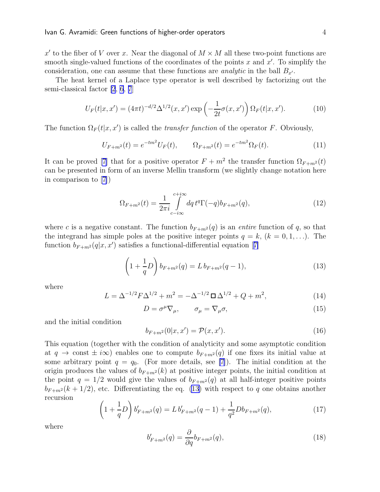<span id="page-4-0"></span>x' to the fiber of V over x. Near the diagonal of  $M \times M$  all these two-point functions are smooth single-valued functions of the coordinates of the points  $x$  and  $x'$ . To simplify the consideration, one can assume that these functions are *analytic* in the ball  $B_{x'}$ .

The heat kernel of a Laplace type operator is well described by factorizing out the semi-classical factor [\[2](#page-24-0), [6](#page-25-0), [7](#page-25-0)]

$$
U_F(t|x, x') = (4\pi t)^{-d/2} \Delta^{1/2}(x, x') \exp\left(-\frac{1}{2t}\sigma(x, x')\right) \Omega_F(t|x, x'). \tag{10}
$$

The function  $\Omega_F(t|x, x')$  is called the *transfer function* of the operator F. Obviously,

$$
U_{F+m^2}(t) = e^{-tm^2} U_F(t), \qquad \Omega_{F+m^2}(t) = e^{-tm^2} \Omega_F(t). \tag{11}
$$

It can be proved [\[7](#page-25-0)] that for a positive operator  $F + m^2$  the transfer function  $\Omega_{F+m^2}(t)$ can be presented in form of an inverse Mellin transform (we slightly change notation here in comparison to [\[7\]](#page-25-0))

$$
\Omega_{F+m^2}(t) = \frac{1}{2\pi i} \int_{c-i\infty}^{c+i\infty} dq \, t^q \Gamma(-q) b_{F+m^2}(q),\tag{12}
$$

where c is a negative constant. The function  $b_{F+m^2}(q)$  is an *entire* function of q, so that the integrand has simple poles at the positive integer points  $q = k$ ,  $(k = 0, 1, \ldots)$ . The function $b_{F+m^2}(q|x, x')$  satisfies a functional-differential equation [[7\]](#page-25-0)

$$
\left(1 + \frac{1}{q}D\right)b_{F+m^2}(q) = L b_{F+m^2}(q-1),\tag{13}
$$

where

$$
L = \Delta^{-1/2} F \Delta^{1/2} + m^2 = -\Delta^{-1/2} \Box \Delta^{1/2} + Q + m^2,
$$
 (14)

$$
D = \sigma^{\mu} \nabla_{\mu}, \qquad \sigma_{\mu} = \nabla_{\mu} \sigma,
$$
\n(15)

and the initial condition

$$
b_{F+m^2}(0|x, x') = \mathcal{P}(x, x').
$$
\n(16)

This equation (together with the condition of analyticity and some asymptotic condition at  $q \to \text{const} \pm i\infty$  enables one to compute  $b_{F+m^2}(q)$  if one fixes its initial value at some arbitrary point  $q = q_0$ . (For more details, see [\[7](#page-25-0)]). The initial condition at the origin produces the values of  $b_{F+m^2}(k)$  at positive integer points, the initial condition at the point  $q = 1/2$  would give the values of  $b_{F+m^2}(q)$  at all half-integer positive points  $b_{F+m^2}(k+1/2)$ , etc. Differentiating the eq. (13) with respect to q one obtains another recursion  $\sqrt{ }$ 

$$
\left(1 + \frac{1}{q}D\right)b'_{F+m^2}(q) = L b'_{F+m^2}(q-1) + \frac{1}{q^2}Db_{F+m^2}(q),\tag{17}
$$

where

$$
b'_{F+m^2}(q) = \frac{\partial}{\partial q} b_{F+m^2}(q),\tag{18}
$$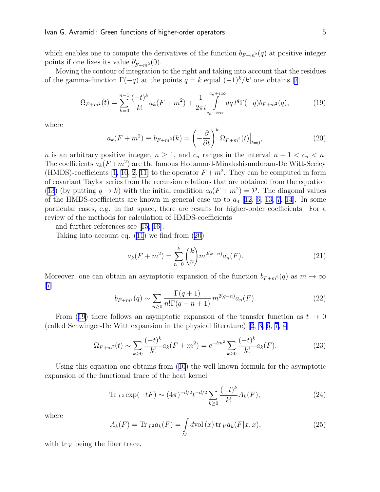<span id="page-5-0"></span>which enables one to compute the derivatives of the function  $b_{F+m^2}(q)$  at positive integer points if one fixes its value  $b'_{F+m^2}(0)$ .

Moving the contour of integration to the right and taking into account that the residues of the gamma-function  $\Gamma(-q)$  at the points  $q = k$  equal  $(-1)^k/k!$  one obtains [\[7](#page-25-0)]

$$
\Omega_{F+m^2}(t) = \sum_{k=0}^{n-1} \frac{(-t)^k}{k!} a_k (F+m^2) + \frac{1}{2\pi i} \int_{c_n - i\infty}^{c_n + i\infty} dq \, t^q \Gamma(-q) b_{F+m^2}(q),\tag{19}
$$

where

$$
a_k(F+m^2) \equiv b_{F+m^2}(k) = \left(-\frac{\partial}{\partial t}\right)^k \Omega_{F+m^2}(t)\Big|_{t=0},\tag{20}
$$

n is an arbitrary positive integer,  $n \geq 1$ , and  $c_n$  ranges in the interval  $n - 1 < c_n < n$ . The coefficients  $a_k(F+m^2)$  are the famous Hadamard-Minakshisundaram-De Witt-Seeley (HMDS)-coefficients[[1,](#page-24-0) [10](#page-25-0), [2,](#page-24-0) [11](#page-25-0)] to the operator  $F + m^2$ . They can be computed in form of covariant Taylor series from the recursion relations that are obtained from the equation ([13](#page-4-0)) (by putting  $q \to k$ ) with the initial condition  $a_0(F + m^2) = \mathcal{P}$ . The diagonal values of the HMDS-coefficients are known in general case up to  $a_4$  [\[12, 6](#page-25-0), [13, 7](#page-25-0), [14\]](#page-25-0). In some particular cases, e.g. in flat space, there are results for higher-order coefficients. For a review of the methods for calculation of HMDS-coefficients

and further references see[[15](#page-25-0), [16](#page-25-0)].

Taking into account eq.([11\)](#page-4-0) we find from (20)

$$
a_k(F+m^2) = \sum_{n=0}^k {k \choose n} m^{2(k-n)} a_n(F). \tag{21}
$$

Moreover, one can obtain an asymptotic expansion of the function  $b_{F+m^2}(q)$  as  $m \to \infty$ [\[7](#page-25-0)]

$$
b_{F+m^2}(q) \sim \sum_{n\geq 0} \frac{\Gamma(q+1)}{n!\Gamma(q-n+1)} m^{2(q-n)} a_n(F). \tag{22}
$$

From (19) there follows an asymptotic expansion of the transfer function as  $t \to 0$ (called Schwinger-De Witt expansion in the physical literature)[[2](#page-24-0), [3,](#page-24-0) [6](#page-25-0), [7,](#page-25-0) [4\]](#page-24-0)

$$
\Omega_{F+m^2}(t) \sim \sum_{k\geq 0} \frac{(-t)^k}{k!} a_k (F+m^2) = e^{-tm^2} \sum_{k\geq 0} \frac{(-t)^k}{k!} a_k (F). \tag{23}
$$

Using this equation one obtains from([10](#page-4-0)) the well known formula for the asymptotic expansion of the functional trace of the heat kernel

Tr 
$$
_{L^2} \exp(-tF) \sim (4\pi)^{-d/2} t^{-d/2} \sum_{k\geq 0} \frac{(-t)^k}{k!} A_k(F)
$$
, (24)

where

$$
A_k(F) = \text{Tr}_{L^2} a_k(F) = \int_M d\text{vol}(x) \,\text{tr}_{V} a_k(F|x, x),\tag{25}
$$

with  $\text{tr }_V$  being the fiber trace.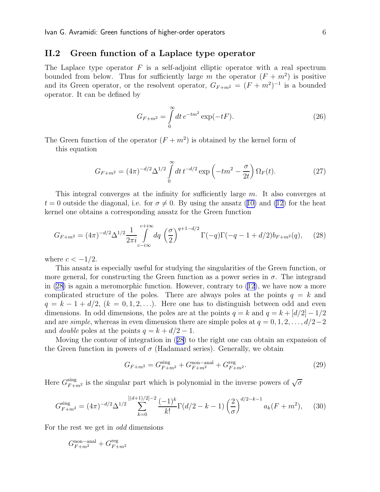### <span id="page-6-0"></span>II.2 Green function of a Laplace type operator

The Laplace type operator  $F$  is a self-adjoint elliptic operator with a real spectrum bounded from below. Thus for sufficiently large m the operator  $(F + m^2)$  is positive and its Green operator, or the resolvent operator,  $G_{F+m^2} = (F+m^2)^{-1}$  is a bounded operator. It can be defined by

$$
G_{F+m^2} = \int_{0}^{\infty} dt \, e^{-tm^2} \exp(-t) \,. \tag{26}
$$

The Green function of the operator  $(F + m^2)$  is obtained by the kernel form of

this equation

$$
G_{F+m^2} = (4\pi)^{-d/2} \Delta^{1/2} \int_0^\infty dt \, t^{-d/2} \exp\left(-tm^2 - \frac{\sigma}{2t}\right) \Omega_F(t). \tag{27}
$$

This integral converges at the infinity for sufficiently large  $m$ . It also converges at  $t = 0$  $t = 0$  $t = 0$  outside the diagonal, i.e. for  $\sigma \neq 0$ . By using the ansatz ([10\)](#page-4-0) and [\(12\)](#page-4-0) for the heat kernel one obtains a corresponding ansatz for the Green function

$$
G_{F+m^2} = (4\pi)^{-d/2} \Delta^{1/2} \frac{1}{2\pi i} \int_{c-i\infty}^{c+i\infty} dq \left(\frac{\sigma}{2}\right)^{q+1-d/2} \Gamma(-q)\Gamma(-q-1+d/2)b_{F+m^2}(q), \tag{28}
$$

where  $c < -1/2$ .

This ansatz is especially useful for studying the singularities of the Green function, or more general, for constructing the Green function as a power series in  $\sigma$ . The integrand in  $(28)$  is again a meromorphic function. However, contrary to  $(12)$ , we have now a more complicated structure of the poles. There are always poles at the points  $q = k$  and  $q = k - 1 + d/2$ ,  $(k = 0, 1, 2, \ldots)$ . Here one has to distinguish between odd and even dimensions. In odd dimensions, the poles are at the points  $q = k$  and  $q = k + \lfloor d/2 \rfloor - 1/2$ and are *simple*, whereas in even dimension there are simple poles at  $q = 0, 1, 2, \ldots, d/2-2$ and *double* poles at the points  $q = k + d/2 - 1$ .

Moving the contour of integration in (28) to the right one can obtain an expansion of the Green function in powers of  $\sigma$  (Hadamard series). Generally, we obtain

$$
G_{F+m^2} = G_{F+m^2}^{\text{sing}} + G_{F+m^2}^{\text{non-anal}} + G_{F+m^2}^{\text{reg}}.
$$
\n(29)

Here  $G_{F+m^2}^{\text{sing}}$  is the singular part which is polynomial in the inverse powers of  $\sqrt{\sigma}$ 

$$
G_{F+m^2}^{\text{sing}} = (4\pi)^{-d/2} \Delta^{1/2} \sum_{k=0}^{\left[(d+1)/2\right]-2} \frac{(-1)^k}{k!} \Gamma(d/2 - k - 1) \left(\frac{2}{\sigma}\right)^{d/2 - k - 1} a_k (F + m^2), \tag{30}
$$

For the rest we get in odd dimensions

$$
G_{F+m^2}^{\rm non-anal}+G_{F+m^2}^{\rm reg}
$$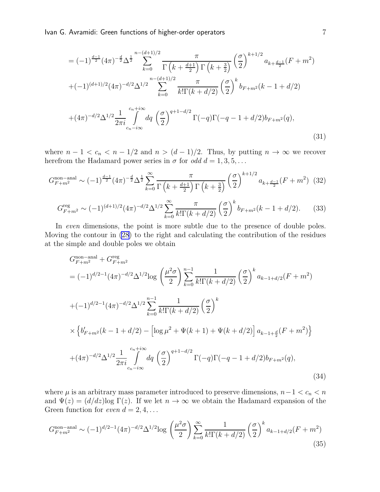$$
= (-1)^{\frac{d-1}{2}} (4\pi)^{-\frac{d}{2}} \Delta^{\frac{1}{2}} \sum_{k=0}^{n-(d+1)/2} \frac{\pi}{\Gamma(k + \frac{d+1}{2}) \Gamma(k + \frac{3}{2})} \left(\frac{\sigma}{2}\right)^{k+1/2} a_{k + \frac{d-1}{2}} (F + m^2)
$$
  
+  $(-1)^{(d+1)/2} (4\pi)^{-d/2} \Delta^{1/2} \sum_{k=0}^{n-(d+1)/2} \frac{\pi}{k! \Gamma(k + d/2)} \left(\frac{\sigma}{2}\right)^k b_{F+m^2}(k - 1 + d/2)$   
+  $(4\pi)^{-d/2} \Delta^{1/2} \frac{1}{2\pi i} \int_{c_n - i\infty}^{c_n + i\infty} dq \left(\frac{\sigma}{2}\right)^{q+1-d/2} \Gamma(-q) \Gamma(-q - 1 + d/2) b_{F+m^2}(q),$  (31)

where  $n - 1 < c_n < n - 1/2$  and  $n > (d - 1)/2$ . Thus, by putting  $n \to \infty$  we recover herefrom the Hadamard power series in  $\sigma$  for odd  $d = 1, 3, 5, \ldots$ 

$$
G_{F+m^{2}}^{\text{non-anal}} \sim (-1)^{\frac{d-1}{2}} (4\pi)^{-\frac{d}{2}} \Delta^{\frac{1}{2}} \sum_{k=0}^{\infty} \frac{\pi}{\Gamma\left(k + \frac{d+1}{2}\right) \Gamma\left(k + \frac{3}{2}\right)} \left(\frac{\sigma}{2}\right)^{k+1/2} a_{k + \frac{d-1}{2}} (F+m^{2}) \tag{32}
$$

$$
G_{F+m^2}^{\text{reg}} \sim (-1)^{(d+1)/2} (4\pi)^{-d/2} \Delta^{1/2} \sum_{k=0}^{\infty} \frac{\pi}{k! \Gamma(k+d/2)} \left(\frac{\sigma}{2}\right)^k b_{F+m^2}(k-1+d/2). \tag{33}
$$

In even dimensions, the point is more subtle due to the presence of double poles. Moving the contour in [\(28](#page-6-0)) to the right and calculating the contribution of the residues at the simple and double poles we obtain

$$
G_{F+m^{2}}^{\text{non-anal}} + G_{F+m^{2}}^{\text{reg}}
$$
  
=  $(-1)^{d/2-1} (4\pi)^{-d/2} \Delta^{1/2} \log \left(\frac{\mu^{2} \sigma}{2}\right) \sum_{k=0}^{n-1} \frac{1}{k! \Gamma(k+d/2)} \left(\frac{\sigma}{2}\right)^{k} a_{k-1+d/2} (F+m^{2})$   
+ $(-1)^{d/2-1} (4\pi)^{-d/2} \Delta^{1/2} \sum_{k=0}^{n-1} \frac{1}{k! \Gamma(k+d/2)} \left(\frac{\sigma}{2}\right)^{k}$   
 $\times \left\{ b'_{F+m^{2}} (k-1+d/2) - \left[ \log \mu^{2} + \Psi(k+1) + \Psi(k+d/2) \right] a_{k-1+\frac{d}{2}} (F+m^{2}) \right\}$   
+ $(4\pi)^{-d/2} \Delta^{1/2} \frac{1}{2\pi i} \int_{c_{n}-i\infty}^{c_{n}+i\infty} dq \left(\frac{\sigma}{2}\right)^{q+1-d/2} \Gamma(-q) \Gamma(-q-1+d/2) b_{F+m^{2}}(q),$  (34)

where  $\mu$  is an arbitrary mass parameter introduced to preserve dimensions,  $n-1 < c_n < n$ and  $\Psi(z) = (d/dz) \log \Gamma(z)$ . If we let  $n \to \infty$  we obtain the Hadamard expansion of the Green function for even  $d = 2, 4, \ldots$ 

$$
G_{F+m^{2}}^{\text{non-anal}} \sim (-1)^{d/2-1} (4\pi)^{-d/2} \Delta^{1/2} \log \left(\frac{\mu^{2} \sigma}{2}\right) \sum_{k=0}^{\infty} \frac{1}{k! \Gamma(k+d/2)} \left(\frac{\sigma}{2}\right)^{k} a_{k-1+d/2} (F+m^{2})
$$
\n(35)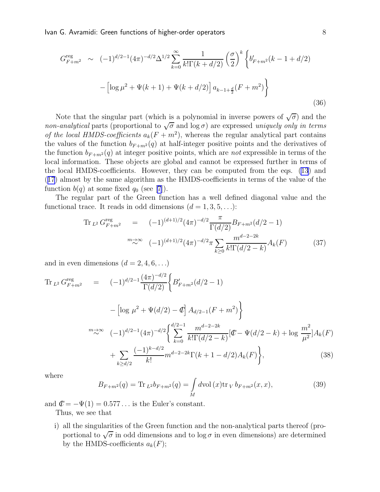<span id="page-8-0"></span>Ivan G. Avramidi: Green functions of higher-order operators and the state of  $8\,$ 

$$
G_{F+m^2}^{\text{reg}} \sim (-1)^{d/2-1} (4\pi)^{-d/2} \Delta^{1/2} \sum_{k=0}^{\infty} \frac{1}{k! \Gamma(k+d/2)} \left(\frac{\sigma}{2}\right)^k \left\{ b'_{F+m^2}(k-1+d/2) - \left[ \log \mu^2 + \Psi(k+1) + \Psi(k+d/2) \right] a_{k-1+\frac{d}{2}}(F+m^2) \right\}
$$
\n(36)

Note that the singular part (which is a polynomial in inverse powers of  $\sqrt{\sigma}$ ) and the non-analytical parts (proportional to  $\sqrt{\sigma}$  and  $\log \sigma$ ) are expressed uniquely only in terms of the local HMDS-coefficients  $a_k(F + m^2)$ , whereas the regular analytical part contains the values of the function  $b_{F+m^2}(q)$  at half-integer positive points and the derivatives of the function  $b_{F+m^2}(q)$  at integer positive points, which are *not* expressible in terms of the local information. These objects are global and cannot be expressed further in terms of the local HMDS-coefficients. However, they can be computed from the eqs. [\(13](#page-4-0)) and ([17](#page-4-0)) almost by the same algorithm as the HMDS-coefficients in terms of the value of the function $b(q)$  at some fixed  $q_0$  (see [[7\]](#page-25-0)).

The regular part of the Green function has a well defined diagonal value and the functional trace. It reads in odd dimensions  $(d = 1, 3, 5, \ldots)$ :

$$
\text{Tr}_{L^2} G_{F+m^2}^{\text{reg}} = (-1)^{(d+1)/2} (4\pi)^{-d/2} \frac{\pi}{\Gamma(d/2)} B_{F+m^2}(d/2 - 1)
$$
\n
$$
\stackrel{m \to \infty}{\sim} (-1)^{(d+1)/2} (4\pi)^{-d/2} \pi \sum_{k \ge 0} \frac{m^{d-2-2k}}{k! \Gamma(d/2 - k)} A_k(F) \tag{37}
$$

and in even dimensions  $(d = 2, 4, 6, \ldots)$ 

$$
\begin{split}\n\text{Tr}_{L^{2}} G_{F+m^{2}}^{reg} &= (-1)^{d/2-1} \frac{(4\pi)^{-d/2}}{\Gamma(d/2)} \left\{ B'_{F+m^{2}}(d/2-1) \right. \\
&\quad - \left[ \log \mu^{2} + \Psi(d/2) - \mathcal{C} \right] A_{d/2-1}(F+m^{2}) \right\} \\
&\stackrel{m \to \infty}{\sim} (-1)^{d/2-1} (4\pi)^{-d/2} \left\{ \sum_{k=0}^{d/2-1} \frac{m^{d-2-2k}}{k!\Gamma(d/2-k)} \left[ \mathcal{C} - \Psi(d/2-k) + \log \frac{m^{2}}{\mu^{2}} \right] A_{k}(F) \right. \\
&\quad + \sum_{k \ge d/2} \frac{(-1)^{k-d/2}}{k!} m^{d-2-2k} \Gamma(k+1-d/2) A_{k}(F) \right\},\n\end{split} \tag{38}
$$

where

$$
B_{F+m^2}(q) = \text{Tr}_{L^2} b_{F+m^2}(q) = \int_M d\text{vol}(x) \text{tr}_V b_{F+m^2}(x, x), \tag{39}
$$

and  $\mathcal{C} = -\Psi(1) = 0.577...$  is the Euler's constant.

Thus, we see that

i) all the singularities of the Green function and the non-analytical parts thereof (proportional to  $\sqrt{\sigma}$  in odd dimensions and to log  $\sigma$  in even dimensions) are determined by the HMDS-coefficients  $a_k(F)$ ;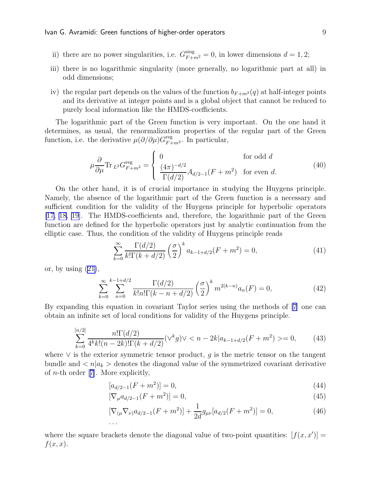- <span id="page-9-0"></span>ii) there are no power singularities, i.e.  $G_{F+m^2}^{\text{sing}} = 0$ , in lower dimensions  $d = 1, 2$ ;
- iii) there is no logarithmic singularity (more generally, no logarithmic part at all) in odd dimensions;
- iv) the regular part depends on the values of the function  $b_{F+m^2}(q)$  at half-integer points and its derivative at integer points and is a global object that cannot be reduced to purely local information like the HMDS-coefficients.

The logarithmic part of the Green function is very important. On the one hand it determines, as usual, the renormalization properties of the regular part of the Green function, i.e. the derivative  $\mu(\partial/\partial\mu)G_{F+m^2}^{\text{reg}}$ . In particular,

$$
\mu \frac{\partial}{\partial \mu} \text{Tr}_{L^2} G_{F+m^2}^{\text{reg}} = \begin{cases} 0 & \text{for odd } d \\ \frac{(4\pi)^{-d/2}}{\Gamma(d/2)} A_{d/2-1}(F+m^2) & \text{for even } d. \end{cases} \tag{40}
$$

On the other hand, it is of crucial importance in studying the Huygens principle. Namely, the absence of the logarithmic part of the Green function is a necessary and sufficient condition for the validity of the Huygens principle for hyperbolic operators [\[17, 18](#page-25-0), [19](#page-25-0)]. The HMDS-coefficients and, therefore, the logarithmic part of the Green function are defined for the hyperbolic operators just by analytic continuation from the elliptic case. Thus, the condition of the validity of Huygens principle reads

$$
\sum_{k=0}^{\infty} \frac{\Gamma(d/2)}{k!\Gamma(k+d/2)} \left(\frac{\sigma}{2}\right)^k a_{k-1+d/2}(F+m^2) = 0,
$$
\n(41)

or,by using  $(21)$  $(21)$ ,

$$
\sum_{k=0}^{\infty} \sum_{n=0}^{k-1+d/2} \frac{\Gamma(d/2)}{k! n! \Gamma(k-n+d/2)} \left(\frac{\sigma}{2}\right)^k m^{2(k-n)} a_n(F) = 0,
$$
\n(42)

By expanding this equation in covariant Taylor series using the methods of [\[7\]](#page-25-0) one can obtain an infinite set of local conditions for validity of the Huygens principle.

$$
\sum_{k=0}^{[n/2]} \frac{n! \Gamma(d/2)}{4^k k! (n-2k)! \Gamma(k+d/2)} (\vee^k g) \vee \langle n-2k | a_{k-1+d/2} (F+m^2) \rangle = 0, \qquad (43)
$$

where  $\vee$  is the exterior symmetric tensor product, g is the metric tensor on the tangent bundle and  $\langle n | a_k \rangle$  denotes the diagonal value of the symmetrized covariant derivative of*n*-th order [[7\]](#page-25-0). More explicitly,

$$
[a_{d/2-1}(F+m^2)] = 0,\t\t(44)
$$

$$
[\nabla_{\mu} a_{d/2-1}(F+m^2)] = 0,\t\t(45)
$$

$$
[\nabla_{(\mu}\nabla_{\nu)}a_{d/2-1}(F+m^2)] + \frac{1}{2d}g_{\mu\nu}[a_{d/2}(F+m^2)] = 0,
$$
\n(46)

where the square brackets denote the diagonal value of two-point quantities:  $[f(x, x')]$  $f(x, x)$ .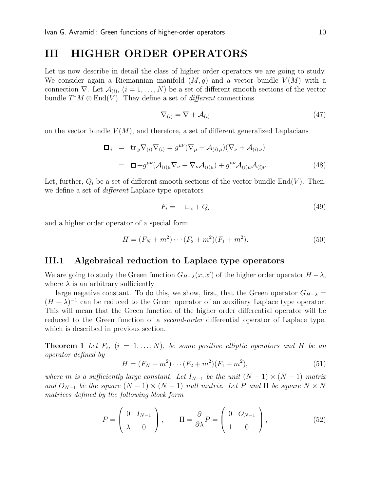# <span id="page-10-0"></span>III HIGHER ORDER OPERATORS

Let us now describe in detail the class of higher order operators we are going to study. We consider again a Riemannian manifold  $(M, q)$  and a vector bundle  $V(M)$  with a connection  $\nabla$ . Let  $\mathcal{A}_{(i)}$ ,  $(i = 1, ..., N)$  be a set of different smooth sections of the vector bundle  $T^*M \otimes \text{End}(V)$ . They define a set of *different* connections

$$
\nabla_{(i)} = \nabla + \mathcal{A}_{(i)} \tag{47}
$$

on the vector bundle  $V(M)$ , and therefore, a set of different generalized Laplacians

$$
\begin{array}{rcl}\n\Box_i & = & \text{tr}_g \nabla_{(i)} \nabla_{(i)} = g^{\mu\nu} (\nabla_\mu + \mathcal{A}_{(i)\,\mu}) (\nabla_\nu + \mathcal{A}_{(i)\,\nu}) \\
\\
& = & \Box + g^{\mu\nu} (\mathcal{A}_{(i)\mu} \nabla_\nu + \nabla_\nu \mathcal{A}_{(i)\mu}) + g^{\mu\nu} \mathcal{A}_{(i)\mu} \mathcal{A}_{(i)\nu}.\n\end{array} \tag{48}
$$

Let, further,  $Q_i$  be a set of different smooth sections of the vector bundle End(V). Then, we define a set of *different* Laplace type operators

$$
F_i = -\Box_i + Q_i \tag{49}
$$

and a higher order operator of a special form

$$
H = (F_N + m^2) \cdots (F_2 + m^2)(F_1 + m^2). \tag{50}
$$

### III.1 Algebraical reduction to Laplace type operators

We are going to study the Green function  $G_{H-\lambda}(x, x')$  of the higher order operator  $H-\lambda$ , where  $\lambda$  is an arbitrary sufficiently

large negative constant. To do this, we show, first, that the Green operator  $G_{H-\lambda}$  =  $(H - \lambda)^{-1}$  can be reduced to the Green operator of an auxiliary Laplace type operator. This will mean that the Green function of the higher order differential operator will be reduced to the Green function of a *second-order* differential operator of Laplace type, which is described in previous section.

**Theorem 1** Let  $F_i$ ,  $(i = 1, ..., N)$ , be some positive elliptic operators and H be an operator defined by

$$
H = (F_N + m^2) \cdots (F_2 + m^2)(F_1 + m^2),
$$
\n(51)

where m is a sufficiently large constant. Let  $I_{N-1}$  be the unit  $(N-1) \times (N-1)$  matrix and  $O_{N-1}$  be the square  $(N-1) \times (N-1)$  null matrix. Let P and  $\Pi$  be square  $N \times N$ matrices defined by the following block form

$$
P = \begin{pmatrix} 0 & I_{N-1} \\ \lambda & 0 \end{pmatrix}, \qquad \Pi = \frac{\partial}{\partial \lambda} P = \begin{pmatrix} 0 & O_{N-1} \\ 1 & 0 \end{pmatrix}, \tag{52}
$$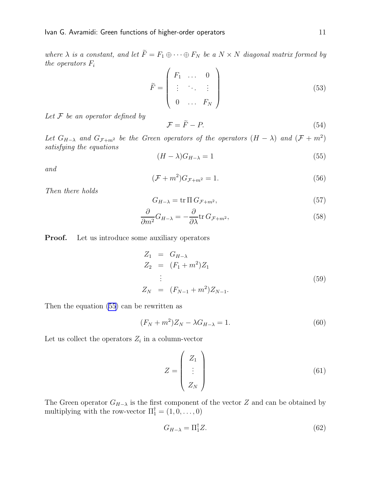<span id="page-11-0"></span>where  $\lambda$  is a constant, and let  $\widetilde{F} = F_1 \oplus \cdots \oplus F_N$  be a  $N \times N$  diagonal matrix formed by the operators  $F_i$ 

$$
\widetilde{F} = \begin{pmatrix} F_1 & \dots & 0 \\ \vdots & \ddots & \vdots \\ 0 & \dots & F_N \end{pmatrix}
$$
\n(53)

Let  $\mathcal F$  be an operator defined by

$$
\mathcal{F} = \tilde{F} - P. \tag{54}
$$

Let  $G_{H-\lambda}$  and  $G_{\mathcal{F}+m^2}$  be the Green operators of the operators  $(H - \lambda)$  and  $(\mathcal{F} + m^2)$ satisfying the equations

$$
(H - \lambda)G_{H - \lambda} = 1\tag{55}
$$

and

$$
(\mathcal{F} + m^2)G_{\mathcal{F} + m^2} = 1.
$$
\n<sup>(56)</sup>

Then there holds

$$
G_{H-\lambda} = \text{tr} \, \Pi \, G_{\mathcal{F}+m^2},\tag{57}
$$

$$
\frac{\partial}{\partial m^2} G_{H-\lambda} = -\frac{\partial}{\partial \lambda} \text{tr} \, G_{\mathcal{F}+m^2},\tag{58}
$$

**Proof.** Let us introduce some auxiliary operators

$$
Z_1 = G_{H-\lambda}
$$
  
\n
$$
Z_2 = (F_1 + m^2)Z_1
$$
  
\n
$$
\vdots
$$
  
\n
$$
Z_N = (F_{N-1} + m^2)Z_{N-1}.
$$
\n(59)

Then the equation (55) can be rewritten as

$$
(F_N + m^2)Z_N - \lambda G_{H-\lambda} = 1.
$$
\n(60)

Let us collect the operators  $Z_i$  in a column-vector

$$
Z = \begin{pmatrix} Z_1 \\ \vdots \\ Z_N \end{pmatrix} \tag{61}
$$

The Green operator  $G_{H-\lambda}$  is the first component of the vector Z and can be obtained by multiplying with the row-vector  $\Pi_1^{\dagger} = (1, 0, \dots, 0)$ 

$$
G_{H-\lambda} = \Pi_1^{\dagger} Z. \tag{62}
$$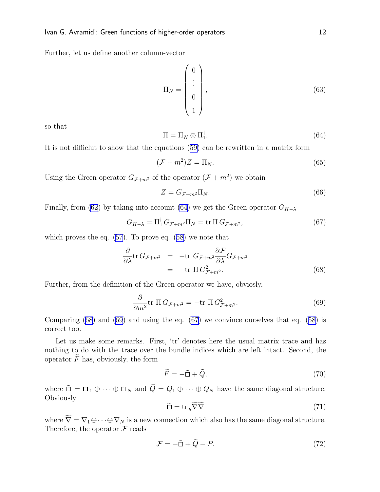Further, let us define another column-vector

$$
\Pi_N = \begin{pmatrix} 0 \\ \vdots \\ 0 \\ 1 \end{pmatrix}, \tag{63}
$$

so that

$$
\Pi = \Pi_N \otimes \Pi_1^\dagger. \tag{64}
$$

It is not difficlut to show that the equations([59\)](#page-11-0) can be rewritten in a matrix form

$$
(\mathcal{F} + m^2)Z = \Pi_N. \tag{65}
$$

Using the Green operator  $G_{\mathcal{F}+m^2}$  of the operator  $(\mathcal{F}+m^2)$  we obtain

$$
Z = G_{\mathcal{F} + m^2} \Pi_N. \tag{66}
$$

Finally, from [\(62](#page-11-0)) by taking into account (64) we get the Green operator  $G_{H-\lambda}$ 

$$
G_{H-\lambda} = \Pi_1^{\dagger} G_{\mathcal{F}+m^2} \Pi_N = \text{tr} \Pi G_{\mathcal{F}+m^2},\tag{67}
$$

which proves the eq. [\(57](#page-11-0)). To prove eq. [\(58\)](#page-11-0) we note that

$$
\frac{\partial}{\partial \lambda} \text{tr} \, G_{\mathcal{F}+m^2} = -\text{tr} \, G_{\mathcal{F}+m^2} \frac{\partial \mathcal{F}}{\partial \lambda} G_{\mathcal{F}+m^2}
$$
\n
$$
= -\text{tr} \, \Pi \, G_{\mathcal{F}+m^2}^2. \tag{68}
$$

Further, from the definition of the Green operator we have, obviosly,

$$
\frac{\partial}{\partial m^2} \text{tr} \, \Pi \, G_{\mathcal{F} + m^2} = -\text{tr} \, \Pi \, G_{\mathcal{F} + m^2}^2. \tag{69}
$$

Comparing (68) and (69) and using the eq. (67) we convince ourselves that eq.([58\)](#page-11-0) is correct too.

Let us make some remarks. First, 'tr′ denotes here the usual matrix trace and has nothing to do with the trace over the bundle indices which are left intact. Second, the operator  $\tilde{F}$  has, obviously, the form

$$
\tilde{F} = -\tilde{\Box} + \tilde{Q},\tag{70}
$$

where  $\tilde{\Box} = \Box_1 \oplus \cdots \oplus \Box_N$  and  $\tilde{Q} = Q_1 \oplus \cdots \oplus Q_N$  have the same diagonal structure. **Obviously** 

$$
\widetilde{\Box} = \operatorname{tr}_g \widetilde{\nabla} \widetilde{\nabla} \tag{71}
$$

where  $\widetilde{\nabla} = \nabla_1 \oplus \cdots \oplus \nabla_N$  is a new connection which also has the same diagonal structure. Therefore, the operator  $\mathcal F$  reads

$$
\mathcal{F} = -\tilde{\mathbf{L}} + Q - P. \tag{72}
$$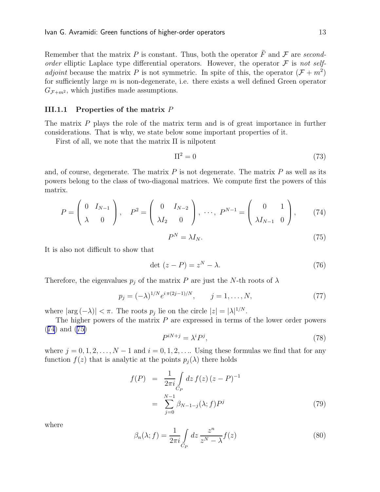<span id="page-13-0"></span>Remember that the matrix P is constant. Thus, both the operator  $\tilde{F}$  and F are secondorder elliptic Laplace type differential operators. However, the operator  $\mathcal F$  is not self*adjoint* because the matrix P is not symmetric. In spite of this, the operator  $(F + m^2)$ for sufficiently large  $m$  is non-degenerate, i.e. there exists a well defined Green operator  $G_{\mathcal{F}+m^2}$ , which justifies made assumptions.

### III.1.1 Properties of the matrix  $P$

The matrix P plays the role of the matrix term and is of great importance in further considerations. That is why, we state below some important properties of it.

First of all, we note that the matrix  $\Pi$  is nilpotent

$$
\Pi^2 = 0\tag{73}
$$

and, of course, degenerate. The matrix  $P$  is not degenerate. The matrix  $P$  as well as its powers belong to the class of two-diagonal matrices. We compute first the powers of this matrix.

$$
P = \begin{pmatrix} 0 & I_{N-1} \\ \lambda & 0 \end{pmatrix}, \quad P^2 = \begin{pmatrix} 0 & I_{N-2} \\ \lambda I_2 & 0 \end{pmatrix}, \ \cdots, \ P^{N-1} = \begin{pmatrix} 0 & 1 \\ \lambda I_{N-1} & 0 \end{pmatrix}, \tag{74}
$$

$$
P^N = \lambda I_N. \tag{75}
$$

It is also not difficult to show that

$$
\det(z - P) = z^N - \lambda. \tag{76}
$$

Therefore, the eigenvalues  $p_i$  of the matrix P are just the N-th roots of  $\lambda$ 

$$
p_j = (-\lambda)^{1/N} e^{i \pi (2j-1)/N}, \qquad j = 1, ..., N,
$$
 (77)

where  $|\arg(-\lambda)| < \pi$ . The roots  $p_j$  lie on the circle  $|z| = |\lambda|^{1/N}$ .

The higher powers of the matrix  $P$  are expressed in terms of the lower order powers (74) and (75)

$$
P^{iN+j} = \lambda^i P^j,\tag{78}
$$

where  $j = 0, 1, 2, \ldots, N - 1$  and  $i = 0, 1, 2, \ldots$  Using these formulas we find that for any function  $f(z)$  that is analytic at the points  $p_i(\lambda)$  there holds

$$
f(P) = \frac{1}{2\pi i} \int_{C_P} dz f(z) (z - P)^{-1}
$$
  
= 
$$
\sum_{j=0}^{N-1} \beta_{N-1-j}(\lambda; f) P^j
$$
 (79)

where

$$
\beta_n(\lambda; f) = \frac{1}{2\pi i} \int_{C_P} dz \, \frac{z^n}{z^N - \lambda} f(z) \tag{80}
$$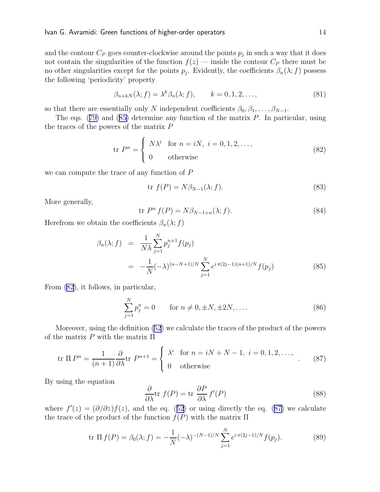<span id="page-14-0"></span>and the contour  $C_P$  goes counter-clockwise around the points  $p_j$  in such a way that it does not contain the singularities of the function  $f(z)$  — inside the contour  $C_P$  there must be no other singularities except for the points  $p_j$ . Evidently, the coefficients  $\beta_n(\lambda; f)$  possess the following 'periodicity' property

$$
\beta_{n+kN}(\lambda; f) = \lambda^k \beta_n(\lambda; f), \qquad k = 0, 1, 2, \dots,
$$
\n(81)

so that there are essentially only N independent coefficients  $\beta_0, \beta_1, \ldots, \beta_{N-1}$ .

Theeqs.  $(79)$  $(79)$  and  $(85)$  determine any function of the matrix P. In particular, using the traces of the powers of the matrix P

$$
\text{tr } P^n = \begin{cases} N\lambda^i & \text{for } n = i, i = 0, 1, 2, \dots, \\ 0 & \text{otherwise} \end{cases} \tag{82}
$$

we can compute the trace of any function of P

$$
\text{tr } f(P) = N\beta_{N-1}(\lambda; f). \tag{83}
$$

More generally,

$$
\text{tr } P^n f(P) = N\beta_{N-1+n}(\lambda; f). \tag{84}
$$

Herefrom we obtain the coefficients  $\beta_n(\lambda; f)$ 

$$
\beta_n(\lambda; f) = \frac{1}{N\lambda} \sum_{j=1}^N p_j^{n+1} f(p_j)
$$
  
= 
$$
-\frac{1}{N} (-\lambda)^{(n-N+1)/N} \sum_{j=1}^N e^{i \pi (2j-1)(n+1)/N} f(p_j)
$$
(85)

From (82), it follows, in particular,

$$
\sum_{j=1}^{N} p_j^n = 0 \qquad \text{for } n \neq 0, \pm N, \pm 2N, \dots
$$
 (86)

Moreover, using the definition [\(52](#page-10-0)) we calculate the traces of the product of the powers of the matrix  $P$  with the matrix  $\Pi$ 

$$
\text{tr } \Pi \, P^n = \frac{1}{(n+1)} \frac{\partial}{\partial \lambda} \text{tr } P^{n+1} = \begin{cases} \lambda^i & \text{for } n = iN + N - 1, \ i = 0, 1, 2, \dots, \\ 0 & \text{otherwise} \end{cases} \tag{87}
$$

By using the equation

$$
\frac{\partial}{\partial \lambda} \text{tr } f(P) = \text{tr } \frac{\partial P}{\partial \lambda} f'(P) \tag{88}
$$

where $f'(z) = (\partial/\partial z) f(z)$ , and the eq. ([52](#page-10-0)) or using directly the eq. (87) we calculate the trace of the product of the function  $f(P)$  with the matrix  $\Pi$ 

tr 
$$
\Pi f(P) = \beta_0(\lambda; f) = -\frac{1}{N}(-\lambda)^{-(N-1)/N} \sum_{j=1}^{N} e^{i \pi (2j-1)/N} f(p_j).
$$
 (89)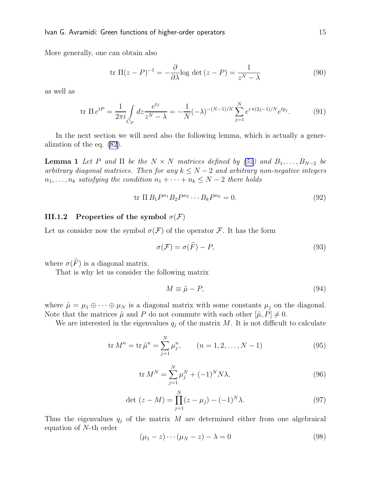<span id="page-15-0"></span>More generally, one can obtain also

$$
\text{tr }\Pi(z - P)^{-1} = -\frac{\partial}{\partial \lambda} \text{log det } (z - P) = \frac{1}{z^N - \lambda} \tag{90}
$$

as well as

$$
\text{tr } \Pi \, e^{tP} = \frac{1}{2\pi i} \int\limits_{C_P} dz \frac{e^{tz}}{z^N - \lambda} = -\frac{1}{N} (-\lambda)^{-(N-1)/N} \sum\limits_{j=1}^N e^{i\pi (2j-1)/N} e^{tp_j}.\tag{91}
$$

In the next section we will need also the following lemma, which is actually a generalization of the eq. [\(82](#page-14-0)).

**Lemma 1** Let P and  $\Pi$  be the  $N \times N$  matrices defined by [\(52](#page-10-0)) and  $B_1, \ldots, B_{N-2}$  be arbitrary diagonal matrices. Then for any  $k \le N-2$  and arbitrary non-negative integers  $n_1, \ldots, n_k$  satisfying the condition  $n_1 + \cdots + n_k \leq N-2$  there holds

$$
\text{tr } \Pi B_1 P^{n_1} B_2 P^{n_2} \cdots B_k P^{n_k} = 0. \tag{92}
$$

#### III.1.2 Properties of the symbol  $\sigma(\mathcal{F})$

Let us consider now the symbol  $\sigma(\mathcal{F})$  of the operator  $\mathcal{F}$ . It has the form

$$
\sigma(\mathcal{F}) = \sigma(\tilde{F}) - P,\tag{93}
$$

where  $\sigma(F)$  is a diagonal matrix.

That is why let us consider the following matrix

$$
M \equiv \tilde{\mu} - P,\tag{94}
$$

where  $\tilde{\mu} = \mu_1 \oplus \cdots \oplus \mu_N$  is a diagonal matrix with some constants  $\mu_j$  on the diagonal. Note that the matrices  $\tilde{\mu}$  and P do not commute with each other  $[\tilde{\mu}, P] \neq 0$ .

We are interested in the eigenvalues  $q_j$  of the matrix M. It is not difficult to calculate

$$
\text{tr } M^n = \text{tr } \tilde{\mu}^n = \sum_{j=1}^N \mu_j^n, \qquad (n = 1, 2, \dots, N - 1)
$$
 (95)

$$
\text{tr } M^N = \sum_{j=1}^N \mu_j^N + (-1)^N N \lambda,\tag{96}
$$

$$
\det(z - M) = \prod_{j=1}^{N} (z - \mu_j) - (-1)^N \lambda.
$$
 (97)

Thus the eigenvalues  $q_j$  of the matrix M are determined either from one algebraical equation of N-th order

$$
(\mu_1 - z) \cdots (\mu_N - z) - \lambda = 0 \tag{98}
$$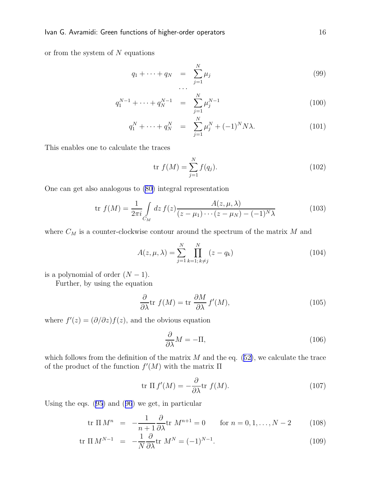<span id="page-16-0"></span>or from the system of  $N$  equations

$$
q_1 + \dots + q_N = \sum_{j=1}^N \mu_j \tag{99}
$$

$$
q_1^{N-1} + \dots + q_N^{N-1} = \sum_{j=1}^N \mu_j^{N-1} \tag{100}
$$

$$
q_1^N + \dots + q_N^N = \sum_{j=1}^N \mu_j^N + (-1)^N N \lambda.
$$
 (101)

This enables one to calculate the traces

$$
\text{tr } f(M) = \sum_{j=1}^{N} f(q_j). \tag{102}
$$

One can get also analogous to [\(80\)](#page-13-0) integral representation

$$
\text{tr } f(M) = \frac{1}{2\pi i} \int_{C_M} dz \, f(z) \frac{A(z, \mu, \lambda)}{(z - \mu_1) \cdots (z - \mu_N) - (-1)^N \lambda} \tag{103}
$$

where  $C_M$  is a counter-clockwise contour around the spectrum of the matrix  $M$  and

$$
A(z, \mu, \lambda) = \sum_{j=1}^{N} \prod_{k=1; k \neq j}^{N} (z - q_k)
$$
 (104)

is a polynomial of order  $(N-1)$ .

Further, by using the equation

$$
\frac{\partial}{\partial \lambda} \text{tr } f(M) = \text{tr } \frac{\partial M}{\partial \lambda} f'(M), \qquad (105)
$$

where  $f'(z) = (\partial/\partial z) f(z)$ , and the obvious equation

$$
\frac{\partial}{\partial \lambda}M = -\Pi,\tag{106}
$$

whichfollows from the definition of the matrix  $M$  and the eq. ([52\)](#page-10-0), we calculate the trace of the product of the function  $f'(M)$  with the matrix  $\Pi$ 

$$
\operatorname{tr} \Pi f'(M) = -\frac{\partial}{\partial \lambda} \operatorname{tr} f(M). \tag{107}
$$

Using the eqs. [\(95\)](#page-15-0) and([96](#page-15-0)) we get, in particular

$$
\text{tr } \Pi \, M^n \ = \ -\frac{1}{n+1} \frac{\partial}{\partial \lambda} \text{tr } M^{n+1} = 0 \qquad \text{for } n = 0, 1, \dots, N-2 \tag{108}
$$

$$
\text{tr } \Pi \, M^{N-1} \quad = \quad -\frac{1}{N} \frac{\partial}{\partial \lambda} \text{tr } \, M^N = (-1)^{N-1}.
$$
\n(109)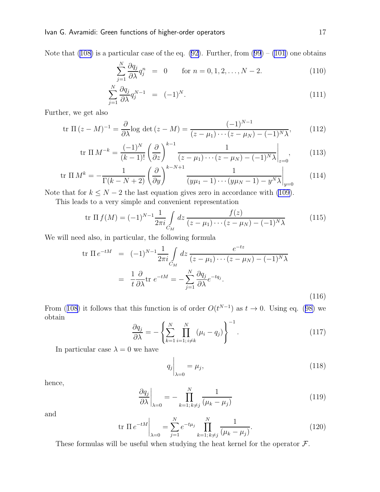Notethat ([108\)](#page-16-0) is a particular case of the eq. [\(92\)](#page-15-0). Further, from  $(99) - (101)$  $(99) - (101)$  one obtains

$$
\sum_{j=1}^{N} \frac{\partial q_j}{\partial \lambda} q_j^n = 0 \quad \text{for } n = 0, 1, 2, \dots, N-2.
$$
 (110)

$$
\sum_{j=1}^{N} \frac{\partial q_j}{\partial \lambda} q_j^{N-1} = (-1)^N.
$$
\n(111)

Further, we get also

$$
\text{tr } \Pi \left( z - M \right)^{-1} = \frac{\partial}{\partial \lambda} \log \det \left( z - M \right) = \frac{(-1)^{N-1}}{(z - \mu_1) \cdots (z - \mu_N) - (-1)^N \lambda},\tag{112}
$$

$$
\text{tr } \Pi \, M^{-k} = \frac{(-1)^N}{(k-1)!} \left( \frac{\partial}{\partial z} \right)^{k-1} \frac{1}{(z - \mu_1) \cdots (z - \mu_N) - (-1)^N \lambda} \bigg|_{z=0},\tag{113}
$$

tr 
$$
\Pi M^k = -\frac{1}{\Gamma(k - N + 2)} \left( \frac{\partial}{\partial y} \right)^{k - N + 1} \frac{1}{(y\mu_1 - 1) \cdots (y\mu_N - 1) - y^N \lambda} \Big|_{y=0}
$$
 (114)

Note that for  $k \leq N - 2$  the last equation gives zero in accordance with [\(109\)](#page-16-0).

This leads to a very simple and convenient representation

$$
\text{tr } \Pi \, f(M) = (-1)^{N-1} \frac{1}{2\pi i} \int_{C_M} dz \, \frac{f(z)}{(z - \mu_1) \cdots (z - \mu_N) - (-1)^N \lambda} \tag{115}
$$

We will need also, in particular, the following formula

$$
\text{tr}\,\Pi\,e^{-tM} = (-1)^{N-1}\frac{1}{2\pi i} \int\limits_{C_M} dz \frac{e^{-tz}}{(z-\mu_1)\cdots(z-\mu_N)-(-1)^N\lambda}
$$
\n
$$
= \frac{1}{t}\frac{\partial}{\partial\lambda}\text{tr}\,e^{-tM} = -\sum_{j=1}^N \frac{\partial q_j}{\partial\lambda}e^{-tq_j}.
$$
\n(116)

From([108](#page-16-0)) it follows that this function is of order  $O(t^{N-1})$  as  $t \to 0$ . Using eq. ([98\)](#page-15-0) we obtain

$$
\frac{\partial q_j}{\partial \lambda} = -\left\{ \sum_{k=1}^N \prod_{i=1; i \neq k}^N (\mu_i - q_j) \right\}^{-1}.
$$
\n(117)

In particular case  $\lambda = 0$  we have

$$
q_j\bigg|_{\lambda=0} = \mu_j,\tag{118}
$$

hence,

$$
\left. \frac{\partial q_j}{\partial \lambda} \right|_{\lambda=0} = - \prod_{k=1; \, k \neq j}^N \frac{1}{(\mu_k - \mu_j)} \tag{119}
$$

and

$$
\text{tr}\,\Pi\,e^{-tM}\bigg|_{\lambda=0} = \sum_{j=1}^{N} e^{-t\mu_j} \prod_{k=1;\,k\neq j}^{N} \frac{1}{(\mu_k - \mu_j)}.\tag{120}
$$

These formulas will be useful when studying the heat kernel for the operator  $\mathcal{F}$ .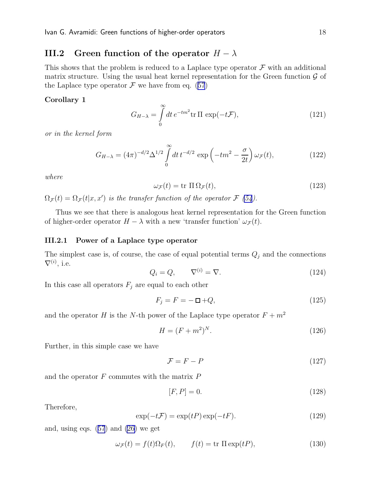### <span id="page-18-0"></span>III.2 Green function of the operator  $H - \lambda$

This shows that the problem is reduced to a Laplace type operator  $\mathcal F$  with an additional matrix structure. Using the usual heat kernel representation for the Green function  $\mathcal G$  of theLaplace type operator  $\mathcal F$  we have from eq. ([57](#page-11-0))

### Corollary 1

$$
G_{H-\lambda} = \int_{0}^{\infty} dt \, e^{-tm^2} \text{tr} \, \Pi \, \exp(-t\mathcal{F}), \tag{121}
$$

or in the kernel form

$$
G_{H-\lambda} = (4\pi)^{-d/2} \Delta^{1/2} \int_{0}^{\infty} dt \, t^{-d/2} \, \exp\left(-tm^2 - \frac{\sigma}{2t}\right) \omega_{\mathcal{F}}(t),\tag{122}
$$

where

$$
\omega_{\mathcal{F}}(t) = \text{tr} \, \Pi \, \Omega_{\mathcal{F}}(t),\tag{123}
$$

 $\Omega_{\mathcal{F}}(t) = \Omega_{\mathcal{F}}(t|x, x')$  is the transfer function of the operator  $\mathcal{F}$  [\(54](#page-11-0)).

Thus we see that there is analogous heat kernel representation for the Green function of higher-order operator  $H - \lambda$  with a new 'transfer function'  $\omega_{\mathcal{F}}(t)$ .

#### III.2.1 Power of a Laplace type operator

The simplest case is, of course, the case of equal potential terms  $Q_j$  and the connections  $\nabla^{(i)}$ , i.e.

$$
Q_i = Q, \qquad \nabla^{(i)} = \nabla. \tag{124}
$$

In this case all operators  $F_j$  are equal to each other

$$
F_j = F = -\Box + Q,\tag{125}
$$

and the operator  $H$  is the N-th power of the Laplace type operator  $F + m^2$ 

$$
H = (F + m2)N.
$$
\n
$$
(126)
$$

Further, in this simple case we have

$$
\mathcal{F} = F - P \tag{127}
$$

and the operator  $F$  commutes with the matrix  $P$ 

$$
[F, P] = 0.\t(128)
$$

Therefore,

$$
\exp(-t\mathcal{F}) = \exp(tP)\exp(-tF). \tag{129}
$$

and, using eqs.([57](#page-11-0)) and [\(26\)](#page-6-0) we get

$$
\omega_{\mathcal{F}}(t) = f(t)\Omega_F(t), \qquad f(t) = \text{tr } \Pi \exp(tP), \tag{130}
$$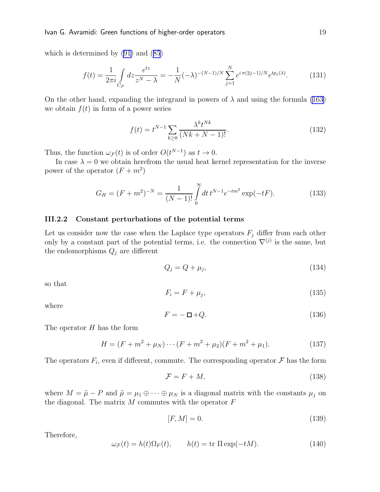which is determined by [\(91\)](#page-15-0) and([85](#page-14-0))

$$
f(t) = \frac{1}{2\pi i} \int_{C_P} dz \frac{e^{tz}}{z^N - \lambda} = -\frac{1}{N} (-\lambda)^{-(N-1)/N} \sum_{j=1}^N e^{i\pi (2j-1)/N} e^{tp_j(\lambda)}.
$$
 (131)

On the other hand, expanding the integrand in powers of  $\lambda$  and using the formula [\(163](#page-23-0)) we obtain  $f(t)$  in form of a power series

$$
f(t) = t^{N-1} \sum_{k \ge 0} \frac{\lambda^k t^{Nk}}{(Nk + N - 1)!}.
$$
 (132)

Thus, the function  $\omega_{\mathcal{F}}(t)$  is of order  $O(t^{N-1})$  as  $t \to 0$ .

In case  $\lambda = 0$  we obtain herefrom the usual heat kernel representation for the inverse power of the operator  $(F+m^2)$ 

$$
G_H = (F + m^2)^{-N} = \frac{1}{(N-1)!} \int_0^\infty dt \, t^{N-1} e^{-tm^2} \exp(-tF). \tag{133}
$$

#### III.2.2 Constant perturbations of the potential terms

Let us consider now the case when the Laplace type operators  $F_j$  differ from each other only by a constant part of the potential terms, i.e. the connection  $\nabla^{(j)}$  is the same, but the endomorphisms  $Q_j$  are different

$$
Q_j = Q + \mu_j,\tag{134}
$$

so that

$$
F_i = F + \mu_j,\tag{135}
$$

where

$$
F = -\Box + Q.\tag{136}
$$

The operator  $H$  has the form

$$
H = (F + m2 + \muN) \cdots (F + m2 + \mu2)(F + m2 + \mu1).
$$
 (137)

The operators  $F_i$ , even if different, commute. The corresponding operator  $\mathcal F$  has the form

$$
\mathcal{F} = F + M,\tag{138}
$$

where  $M = \tilde{\mu} - P$  and  $\tilde{\mu} = \mu_1 \oplus \cdots \oplus \mu_N$  is a diagonal matrix with the constants  $\mu_i$  on the diagonal. The matrix  $M$  commutes with the operator  $F$ 

$$
[F,M] = 0.\t(139)
$$

Therefore,

$$
\omega_{\mathcal{F}}(t) = h(t)\Omega_{F}(t), \qquad h(t) = \text{tr } \Pi \exp(-tM). \tag{140}
$$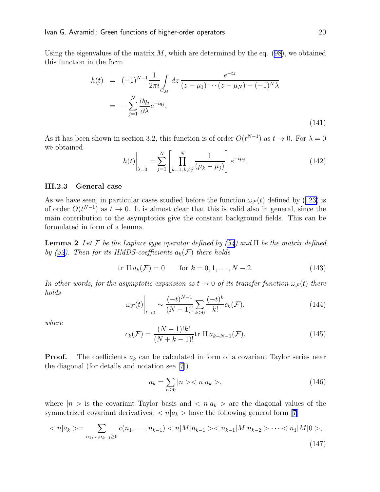<span id="page-20-0"></span>Using the eigenvalues of the matrix  $M$ , which are determined by the eq. [\(98\)](#page-15-0), we obtained this function in the form

$$
h(t) = (-1)^{N-1} \frac{1}{2\pi i} \int_{C_M} dz \frac{e^{-tz}}{(z - \mu_1) \cdots (z - \mu_N) - (-1)^N \lambda}
$$
  
= 
$$
-\sum_{j=1}^N \frac{\partial q_j}{\partial \lambda} e^{-tq_j}.
$$
 (141)

As it has been shown in section 3.2, this function is of order  $O(t^{N-1})$  as  $t \to 0$ . For  $\lambda = 0$ we obtained

$$
h(t)\Big|_{\lambda=0} = \sum_{j=1}^{N} \left[ \prod_{k=1;\,k\neq j}^{N} \frac{1}{(\mu_k - \mu_j)} \right] e^{-t\mu_j}.
$$
 (142)

#### III.2.3 General case

Aswe have seen, in particular cases studied before the function  $\omega_{\mathcal{F}}(t)$  defined by ([123\)](#page-18-0) is of order  $O(t^{N-1})$  as  $t \to 0$ . It is almost clear that this is valid also in general, since the main contribution to the asymptotics give the constant background fields. This can be formulated in form of a lemma.

**Lemma 2** Let F be the Laplace type operator defined by  $(54)$  and  $\Pi$  be the matrix defined by [\(52](#page-10-0)). Then for its HMDS-coefficients  $a_k(\mathcal{F})$  there holds

$$
\text{tr } \Pi \, a_k(\mathcal{F}) = 0 \qquad \text{for } k = 0, 1, \dots, N - 2. \tag{143}
$$

In other words, for the asymptotic expansion as  $t \to 0$  of its transfer function  $\omega_{\mathcal{F}}(t)$  there holds

$$
\omega_{\mathcal{F}}(t)\Big|_{t\to 0} \sim \frac{(-t)^{N-1}}{(N-1)!} \sum_{k\geq 0} \frac{(-t)^k}{k!} c_k(\mathcal{F}),\tag{144}
$$

where

$$
c_k(\mathcal{F}) = \frac{(N-1)!k!}{(N+k-1)!} \text{tr} \, \Pi \, a_{k+N-1}(\mathcal{F}). \tag{145}
$$

**Proof.** The coefficients  $a_k$  can be calculated in form of a covariant Taylor series near the diagonal (for details and notation see [\[7](#page-25-0)])

$$
a_k = \sum_{n \ge 0} |n \rangle < n | a_k \rangle, \tag{146}
$$

where  $|n\rangle$  is the covariant Taylor basis and  $\langle n|a_k\rangle$  are the diagonal values of the symmetrizedcovariant derivatives.  $\langle n | a_k \rangle$  have the following general form [[7\]](#page-25-0)

$$
\langle n|a_k\rangle = \sum_{n_1,\dots,n_{k-1}\geq 0} c(n_1,\dots,n_{k-1}) < n|M|n_{k-1}\rangle < n_{k-1}|M|n_{k-2}\rangle \cdots < n_1|M|0\rangle,\tag{147}
$$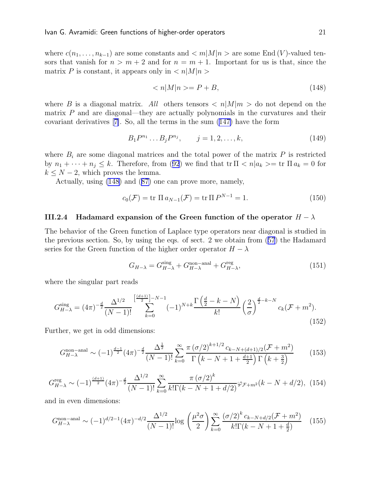where  $c(n_1, \ldots, n_{k-1})$  are some constants and  $\langle m | M | n \rangle$  are some End (V)-valued tensors that vanish for  $n > m + 2$  and for  $n = m + 1$ . Important for us is that, since the matrix P is constant, it appears only in  $\langle n|M|n\rangle$ 

$$
\langle n|M|n\rangle = P + B,\tag{148}
$$

where B is a diagonal matrix. All others tensors  $\langle n|M|m\rangle$  do not depend on the matrix  $P$  and are diagonal—they are actually polynomials in the curvatures and their covariant derivatives[[7\]](#page-25-0). So, all the terms in the sum [\(147\)](#page-20-0) have the form

$$
B_1 P^{n_1} \dots B_j P^{n_j}, \qquad j = 1, 2, \dots, k,
$$
\n(149)

where  $B_i$  are some diagonal matrices and the total power of the matrix  $P$  is restricted by $n_1 + \cdots + n_j \leq k$ . Therefore, from ([92](#page-15-0)) we find that  $\text{tr }\Pi \langle n | a_k \rangle = \text{tr }\Pi a_k = 0$  for  $k \leq N-2$ , which proves the lemma.

Actually, using (148) and([87\)](#page-14-0) one can prove more, namely,

$$
c_0(\mathcal{F}) = \text{tr} \, \Pi \, a_{N-1}(\mathcal{F}) = \text{tr} \, \Pi \, P^{N-1} = 1. \tag{150}
$$

#### III.2.4 Hadamard expansion of the Green function of the operator  $H - \lambda$

The behavior of the Green function of Laplace type operators near diagonal is studied in the previous section. So, by using the eqs. of sect. 2 we obtain from([57](#page-11-0)) the Hadamard series for the Green function of the higher order operator  $H - \lambda$ 

$$
G_{H-\lambda} = G_{H-\lambda}^{\text{sing}} + G_{H-\lambda}^{\text{non-anal}} + G_{H-\lambda}^{\text{reg}},\tag{151}
$$

where the singular part reads

$$
G_{H-\lambda}^{\text{sing}} = (4\pi)^{-\frac{d}{2}} \frac{\Delta^{1/2}}{(N-1)!} \sum_{k=0}^{\left[\frac{(d+1)}{2}\right]-N-1} (-1)^{N+k} \frac{\Gamma\left(\frac{d}{2}-k-N\right)}{k!} \left(\frac{2}{\sigma}\right)^{\frac{d}{2}-k-N} c_k (\mathcal{F}+m^2). \tag{152}
$$

Further, we get in odd dimensions:

$$
G_{H-\lambda}^{\text{non-anal}} \sim (-1)^{\frac{d-1}{2}} (4\pi)^{-\frac{d}{2}} \frac{\Delta^{\frac{1}{2}}}{(N-1)!} \sum_{k=0}^{\infty} \frac{\pi (\sigma/2)^{k+1/2} c_{k-N+(d+1)/2}(\mathcal{F}+m^2)}{\Gamma (k-N+1+\frac{d+1}{2}) \Gamma (k+\frac{3}{2})}
$$
(153)

$$
G_{H-\lambda}^{\text{reg}} \sim (-1)^{\frac{(d+1)}{2}} (4\pi)^{-\frac{d}{2}} \frac{\Delta^{1/2}}{(N-1)!} \sum_{k=0}^{\infty} \frac{\pi (\sigma/2)^k}{k! \Gamma(k-N+1+d/2)} \varphi_{\mathcal{F}+m^2}(k-N+d/2), \tag{154}
$$

and in even dimensions:

$$
G_{H-\lambda}^{\text{non-anal}} \sim (-1)^{d/2-1} (4\pi)^{-d/2} \frac{\Delta^{1/2}}{(N-1)!} \log \left(\frac{\mu^2 \sigma}{2}\right) \sum_{k=0}^{\infty} \frac{\left(\sigma/2\right)^k c_{k-N+d/2} (\mathcal{F} + m^2)}{k! \Gamma(k - N + 1 + \frac{d}{2})} \tag{155}
$$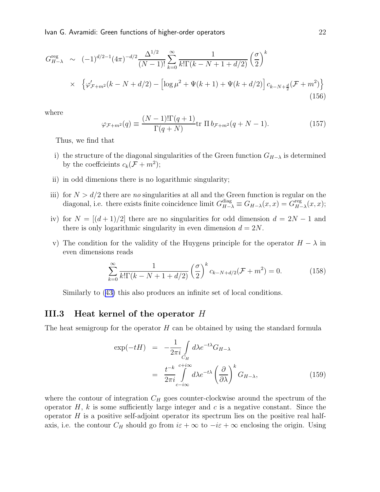Ivan G. Avramidi: Green functions of higher-order operators 22

$$
G_{H-\lambda}^{\text{reg}} \sim (-1)^{d/2-1} (4\pi)^{-d/2} \frac{\Delta^{1/2}}{(N-1)!} \sum_{k=0}^{\infty} \frac{1}{k! \Gamma(k-N+1+d/2)} \left(\frac{\sigma}{2}\right)^k
$$
  
 
$$
\times \left\{ \varphi'_{\mathcal{F}+m^2}(k-N+d/2) - \left[ \log \mu^2 + \Psi(k+1) + \Psi(k+d/2) \right] c_{k-N+\frac{d}{2}} (\mathcal{F}+m^2) \right\}
$$
(156)

where

$$
\varphi_{\mathcal{F}+m^2}(q) \equiv \frac{(N-1)!\Gamma(q+1)}{\Gamma(q+N)} \text{tr } \Pi b_{\mathcal{F}+m^2}(q+N-1). \tag{157}
$$

Thus, we find that

- i) the structure of the diagonal singularities of the Green function  $G_{H-\lambda}$  is determined by the coefficients  $c_k(\mathcal{F} + m^2);$
- ii) in odd dimenions there is no logarithmic singularity;
- iii) for  $N > d/2$  there are no singularities at all and the Green function is regular on the diagonal, i.e. there exists finite coincidence limit  $G_{H-\lambda}^{\text{diag}} \equiv G_{H-\lambda}(x,x) = G_{H-\lambda}^{\text{reg}}$  $H_{-\lambda}^{\text{reg}}(x,x);$
- iv) for  $N = \lfloor (d+1)/2 \rfloor$  there are no singularities for odd dimension  $d = 2N 1$  and there is only logarithmic singularity in even dimension  $d = 2N$ .
- v) The condition for the validity of the Huygens principle for the operator  $H \lambda$  in even dimensions reads

$$
\sum_{k=0}^{\infty} \frac{1}{k! \Gamma(k - N + 1 + d/2)} \left(\frac{\sigma}{2}\right)^k c_{k - N + d/2}(\mathcal{F} + m^2) = 0.
$$
 (158)

Similarly to([43\)](#page-9-0) this also produces an infinite set of local conditions.

### III.3 Heat kernel of the operator H

The heat semigroup for the operator  $H$  can be obtained by using the standard formula

$$
\exp(-tH) = -\frac{1}{2\pi i} \int_{C_H} d\lambda e^{-t\lambda} G_{H-\lambda}
$$

$$
= \frac{t^{-k}}{2\pi i} \int_{c-i\infty}^{c+i\infty} d\lambda e^{-t\lambda} \left(\frac{\partial}{\partial \lambda}\right)^k G_{H-\lambda}, \tag{159}
$$

where the contour of integration  $C_H$  goes counter-clockwise around the spectrum of the operator  $H$ , k is some sufficiently large integer and c is a negative constant. Since the operator  $H$  is a positive self-adjoint operator its spectrum lies on the positive real halfaxis, i.e. the contour  $C_H$  should go from  $i\varepsilon + \infty$  to  $-i\varepsilon + \infty$  enclosing the origin. Using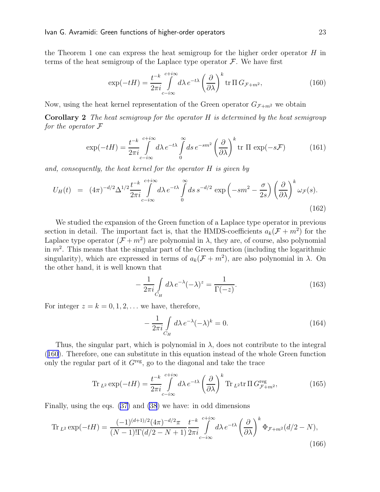<span id="page-23-0"></span>the Theorem 1 one can express the heat semigroup for the higher order operator  $H$  in terms of the heat semigroup of the Laplace type operator  $\mathcal F$ . We have first

$$
\exp(-tH) = \frac{t^{-k}}{2\pi i} \int_{c-i\infty}^{c+i\infty} d\lambda \, e^{-t\lambda} \left(\frac{\partial}{\partial \lambda}\right)^k \operatorname{tr} \Pi \, G_{\mathcal{F}+m^2},\tag{160}
$$

Now, using the heat kernel representation of the Green operator  $G_{\mathcal{F}+m^2}$  we obtain

**Corollary 2** The heat semigroup for the operator  $H$  is determined by the heat semigroup for the operator  $\mathcal F$ 

$$
\exp(-tH) = \frac{t^{-k}}{2\pi i} \int_{c-i\infty}^{c+i\infty} d\lambda \, e^{-t\lambda} \int_{0}^{\infty} ds \, e^{-sm^2} \left(\frac{\partial}{\partial \lambda}\right)^k \text{tr } \Pi \, \exp(-s\mathcal{F}) \tag{161}
$$

and, consequently, the heat kernel for the operator H is given by

$$
U_H(t) = (4\pi)^{-d/2} \Delta^{1/2} \frac{t^{-k}}{2\pi i} \int\limits_{c-i\infty}^{c+i\infty} d\lambda \, e^{-t\lambda} \int\limits_0^\infty ds \, s^{-d/2} \, \exp\left(-sm^2 - \frac{\sigma}{2s}\right) \left(\frac{\partial}{\partial\lambda}\right)^k \omega_{\mathcal{F}}(s).
$$
\n(162)

We studied the expansion of the Green function of a Laplace type operator in previous section in detail. The important fact is, that the HMDS-coefficients  $a_k(\mathcal{F} + m^2)$  for the Laplace type operator  $(\mathcal{F} + m^2)$  are polynomial in  $\lambda$ , they are, of course, also polynomial in  $m^2$ . This means that the singular part of the Green function (including the logarithmic singularity), which are expressed in terms of  $a_k(\mathcal{F} + m^2)$ , are also polynomial in  $\lambda$ . On the other hand, it is well known that

$$
-\frac{1}{2\pi i} \int\limits_{C_H} d\lambda \, e^{-\lambda} (-\lambda)^z = \frac{1}{\Gamma(-z)}.\tag{163}
$$

For integer  $z = k = 0, 1, 2, \ldots$  we have, therefore,

$$
-\frac{1}{2\pi i} \int\limits_{C_H} d\lambda \, e^{-\lambda} (-\lambda)^k = 0. \tag{164}
$$

Thus, the singular part, which is polynomial in  $\lambda$ , does not contribute to the integral (160). Therefore, one can substitute in this equation instead of the whole Green function only the regular part of it  $G<sup>reg</sup>$ , go to the diagonal and take the trace

$$
\operatorname{Tr}_{L^2} \exp(-tH) = \frac{t^{-k}}{2\pi i} \int_{c-i\infty}^{c+i\infty} d\lambda \, e^{-t\lambda} \left(\frac{\partial}{\partial \lambda}\right)^k \operatorname{Tr}_{L^2} \operatorname{tr} \Pi \, G_{\mathcal{F}+m^2}^{\text{reg}},\tag{165}
$$

Finally, using the eqs.([37\)](#page-8-0) and [\(38](#page-8-0)) we have: in odd dimensions

$$
\text{Tr}_{L^2} \exp(-tH) = \frac{(-1)^{(d+1)/2} (4\pi)^{-d/2} \pi}{(N-1)! \Gamma(d/2 - N + 1)} \frac{t^{-k}}{2\pi i} \int_{c-i\infty}^{c+i\infty} d\lambda \, e^{-t\lambda} \left(\frac{\partial}{\partial \lambda}\right)^k \Phi_{\mathcal{F}+m^2}(d/2 - N),\tag{166}
$$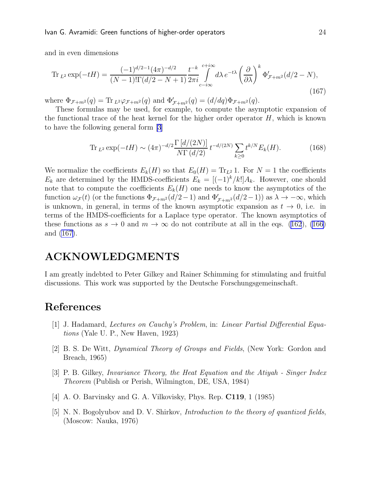<span id="page-24-0"></span>and in even dimensions

$$
\operatorname{Tr}_{L^{2}} \exp(-tH) = \frac{(-1)^{d/2 - 1} (4\pi)^{-d/2}}{(N - 1)! \Gamma(d/2 - N + 1)} \frac{t^{-k}}{2\pi i} \int_{c - i\infty}^{c + i\infty} d\lambda \, e^{-t\lambda} \left(\frac{\partial}{\partial \lambda}\right)^{k} \Phi'_{\mathcal{F} + m^{2}}(d/2 - N),\tag{167}
$$

where  $\Phi_{\mathcal{F}+m^2}(q) = \text{Tr}_{L^2} \varphi_{\mathcal{F}+m^2}(q)$  and  $\Phi'_{\mathcal{F}+m^2}(q) = (d/dq) \Phi_{\mathcal{F}+m^2}(q)$ .

These formulas may be used, for example, to compute the asymptotic expansion of the functional trace of the heat kernel for the higher order operator  $H$ , which is known to have the following general form [3]

$$
\operatorname{Tr}_{L^2} \exp(-tH) \sim (4\pi)^{-d/2} \frac{\Gamma\left[d/(2N)\right]}{N\Gamma\left(d/2\right)} t^{-d/(2N)} \sum_{k\geq 0} t^{k/N} E_k(H). \tag{168}
$$

We normalize the coefficients  $E_k(H)$  so that  $E_0(H) = Tr_{L^2} 1$ . For  $N = 1$  the coefficients  $E_k$  are determined by the HMDS-coefficients  $E_k = [(-1)^k/k!] A_k$ . However, one should note that to compute the coefficients  $E_k(H)$  one needs to know the asymptotics of the function  $\omega_{\mathcal{F}}(t)$  (or the functions  $\Phi_{\mathcal{F}+m^2}(d/2-1)$  and  $\Phi'_{\mathcal{F}+m^2}(d/2-1)$ ) as  $\lambda \to -\infty$ , which is unknown, in general, in terms of the known asymptotic expansion as  $t \to 0$ , i.e. in terms of the HMDS-coefficients for a Laplace type operator. The known asymptotics of thesefunctions as  $s \to 0$  and  $m \to \infty$  do not contribute at all in the eqs. ([162](#page-23-0)), [\(166](#page-23-0)) and (167).

## ACKNOWLEDGMENTS

I am greatly indebted to Peter Gilkey and Rainer Schimming for stimulating and fruitful discussions. This work was supported by the Deutsche Forschungsgemeinschaft.

# References

- [1] J. Hadamard, Lectures on Cauchy's Problem, in: Linear Partial Differential Equations (Yale U. P., New Haven, 1923)
- [2] B. S. De Witt, Dynamical Theory of Groups and Fields, (New York: Gordon and Breach, 1965)
- [3] P. B. Gilkey, Invariance Theory, the Heat Equation and the Atiyah Singer Index Theorem (Publish or Perish, Wilmington, DE, USA, 1984)
- [4] A. O. Barvinsky and G. A. Vilkovisky, Phys. Rep. **C119**, 1 (1985)
- [5] N. N. Bogolyubov and D. V. Shirkov, *Introduction to the theory of quantized fields*, (Moscow: Nauka, 1976)